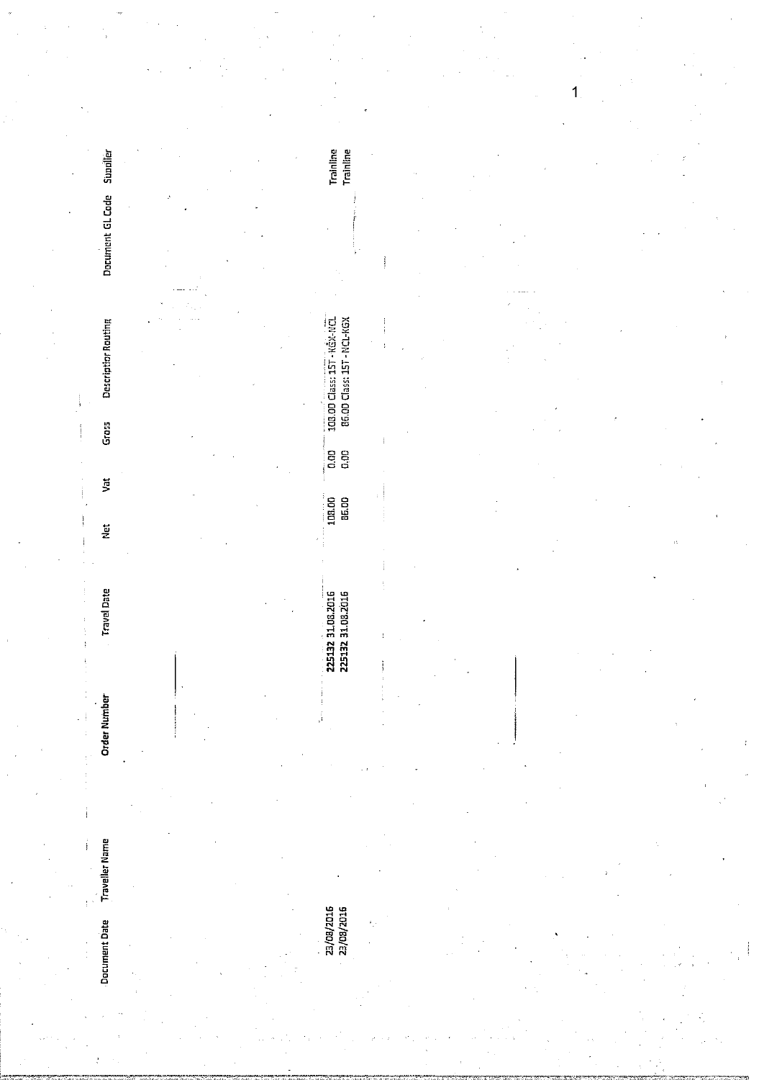|    |                            |   |  |                                                           |                    |  |   | 1 |                    |  |
|----|----------------------------|---|--|-----------------------------------------------------------|--------------------|--|---|---|--------------------|--|
|    |                            |   |  |                                                           |                    |  |   |   |                    |  |
|    | Supplier                   | ÷ |  | Trainline<br>Trainline                                    |                    |  |   |   |                    |  |
|    | Document GL Code           |   |  |                                                           |                    |  |   |   |                    |  |
|    | <b>Descriptior Routing</b> |   |  | 103.00 Class: 15T - KGX-NCL<br>86.00 Class: 15T - NCL-KGX |                    |  |   |   |                    |  |
|    | Grass                      |   |  | ់ខេត្ត<br>ត្រូ                                            |                    |  |   |   |                    |  |
|    | $\sharp$<br>$\frac{1}{2}$  |   |  | 108.00<br>85.00                                           | ÷.                 |  |   |   | $\mathcal{O}_\tau$ |  |
|    | <b>Travel Date</b>         |   |  | 225132 31.08.2016<br>225132 31.08.2016                    |                    |  |   |   |                    |  |
|    | <b>Order Number</b>        |   |  |                                                           |                    |  |   |   |                    |  |
|    | <b>Traveller Name</b>      |   |  |                                                           |                    |  |   |   |                    |  |
|    | Document Date              |   |  | 23/08/2016<br>23/08/2016                                  | $\epsilon_{\perp}$ |  | ٠ |   |                    |  |
| v. |                            |   |  |                                                           |                    |  |   |   |                    |  |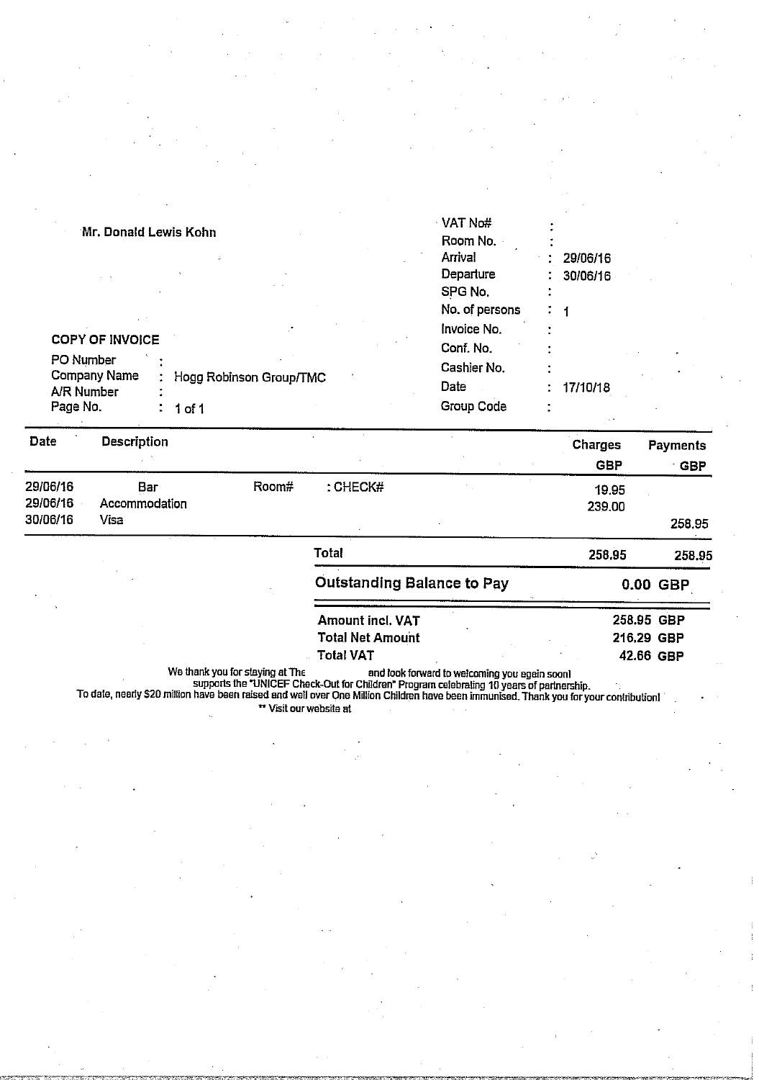| Mr. Donald Lewis Kohn                                                                       |                         | √VAT No#<br>Room No.                                          |                                   |
|---------------------------------------------------------------------------------------------|-------------------------|---------------------------------------------------------------|-----------------------------------|
|                                                                                             |                         | Arrival<br>Departure<br>SPG No.<br>No. of persons             | 29/06/16<br>30/06/16<br>$\bullet$ |
| <b>COPY OF INVOICE</b><br>PO Number<br>Company Name<br>A/R Number<br>Page No.<br>$1$ of $1$ | Hogg Robinson Group/TMC | Invoice No.<br>Conf. No.<br>Cashier No.<br>Date<br>Group Code | 17/10/18<br>$\bullet$             |

| <b>Date</b>                      | <b>Description</b>           |       |                                   | <b>Charges</b><br><b>GBP</b> | <b>Payments</b><br>GBP |
|----------------------------------|------------------------------|-------|-----------------------------------|------------------------------|------------------------|
| 29/06/16<br>29/06/16<br>30/06/16 | Bar<br>Accommodation<br>Visa | Room# | : CHECK#                          | 19.95<br>239.00              | 258.95                 |
|                                  |                              |       | <b>Total</b>                      | 258.95                       | 258.95                 |
|                                  |                              |       | <b>Outstanding Balance to Pay</b> |                              | 0.00 GBP               |

| Amount incl. VAT        |  | 258.95 GBP |  |
|-------------------------|--|------------|--|
| <b>Total Net Amount</b> |  | 216.29 GBP |  |
| Total VAT               |  | 42.66 GBP  |  |

We thank you for staying at The and look forward to welcoming you again soonl

supports the "UNICEF Check-Out for Children" Program celebrating lOyears of partnership. To dale, nearly S2D million have been raised and well over One Million Children have been immunised. Thank you for your contribution]

" Visit ourwebsite at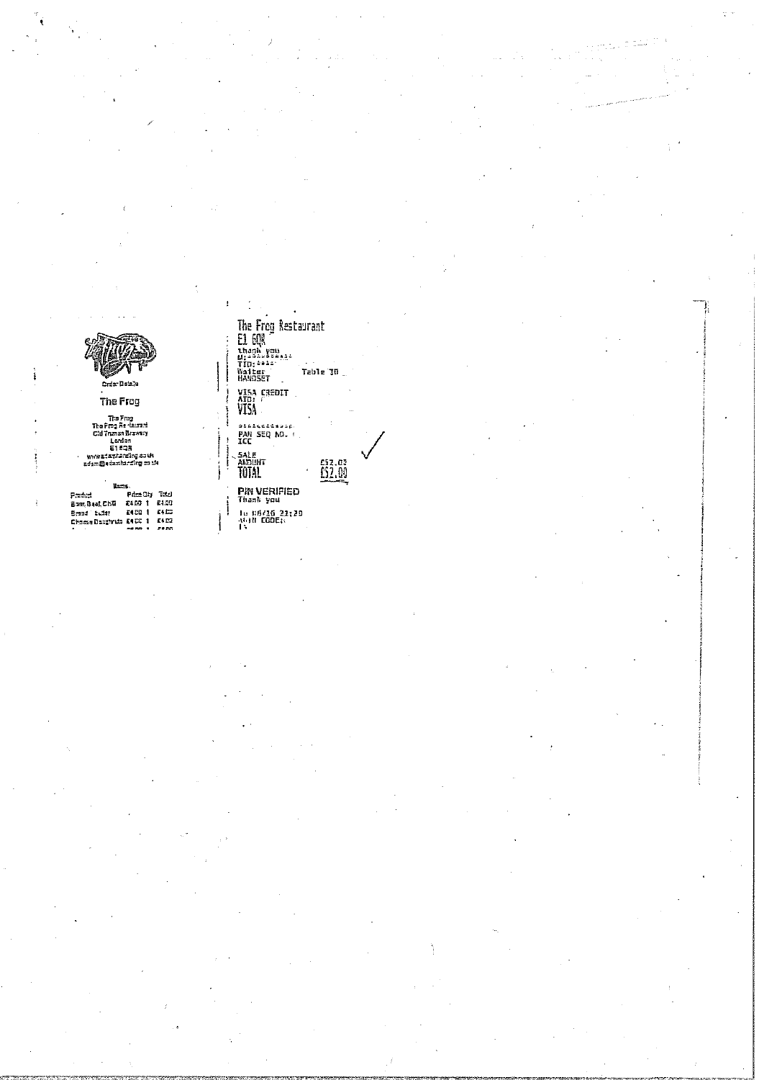The Frog

The Free<br>The Free Re-decret<br>Cid Trunan Bravery<br>London<br>Et day<br>Www.adamianding souk<br>adam@edamianding souk

Units. Manus<br>Bear, Bas, Ch.W. 8400 1 8400<br>Erssa : Ludar 8400 1 8400<br>Erssa Doughruis 8400 1 8400<br>Chesse Doughruis 8400 1 8400

I, The Frog Restaurant<br>
E1 60R<br>
bhank xeu<br>
TID: \*\*\*\*<br>
Walter<br>
HANDSET Table<br>
HANDSET Table  $\ddot{\phantom{a}}$ Table 30 visa credit<br>Ato:<br>VISA alileetiisin<br>PAN 5EQ NO. F.<br>ICC SALE<br>ANDUNT<br>TOTAL  $\underbrace{0,00}$ **PIN VERIFIED**<br>Thank you<br>Lu 116/16 21:20<br>At II CODE:

 $\pmb{\cdot}$ 

ţ İ

ļ  $\begin{array}{c} \begin{array}{c} \begin{array}{c} \begin{array}{c} \end{array} \\ \begin{array}{c} \end{array} \end{array} \end{array} \end{array}$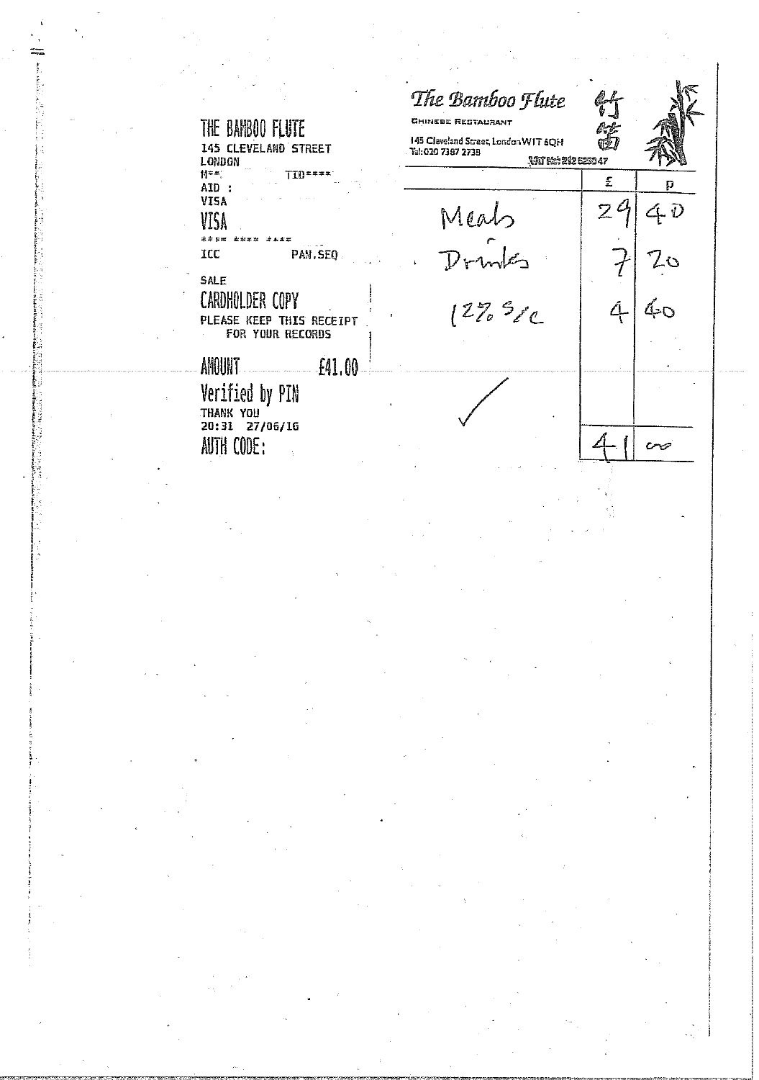| THE BAMBOO FLUTE<br>145 CLEVELAND STREET<br>LONDON                             | The Bamboo Flute<br>CHINEBE RESTAURANT<br>145 Cleveland Street, London WIT 6QH<br>Tel: 020 7387 2738<br><b>WIRE: 202 EE20 47</b> |                |                 |
|--------------------------------------------------------------------------------|----------------------------------------------------------------------------------------------------------------------------------|----------------|-----------------|
| M##1<br>TID = = = = :<br>AID:                                                  |                                                                                                                                  | £              | D               |
| <b>VISA</b><br>VISA                                                            | Meab                                                                                                                             | $\overline{Z}$ | $4\overline{v}$ |
| **** **** ***<br>ICC<br>PAN.SEQ                                                | $\mathcal{D}$ rv                                                                                                                 |                | 20              |
| <b>SALE</b><br>CARDHOLDER COPY<br>PLEASE KEEP THIS RECEIPT<br>FOR YOUR RECORDS | $1275$ $500$                                                                                                                     |                | ๕๓              |
| AMOUNT<br>£41.00                                                               |                                                                                                                                  |                |                 |
| Verified by PIN<br>THANK YOU                                                   |                                                                                                                                  |                |                 |
| 20:31 27/06/16<br>AUTH CODE:                                                   |                                                                                                                                  |                |                 |

 $\sigma_{\rm{eff}}=0.0000$  and  $\sigma_{\rm{eff}}=0.000$ 

 $\mathcal{O}(\mathcal{E}_\mathcal{A})$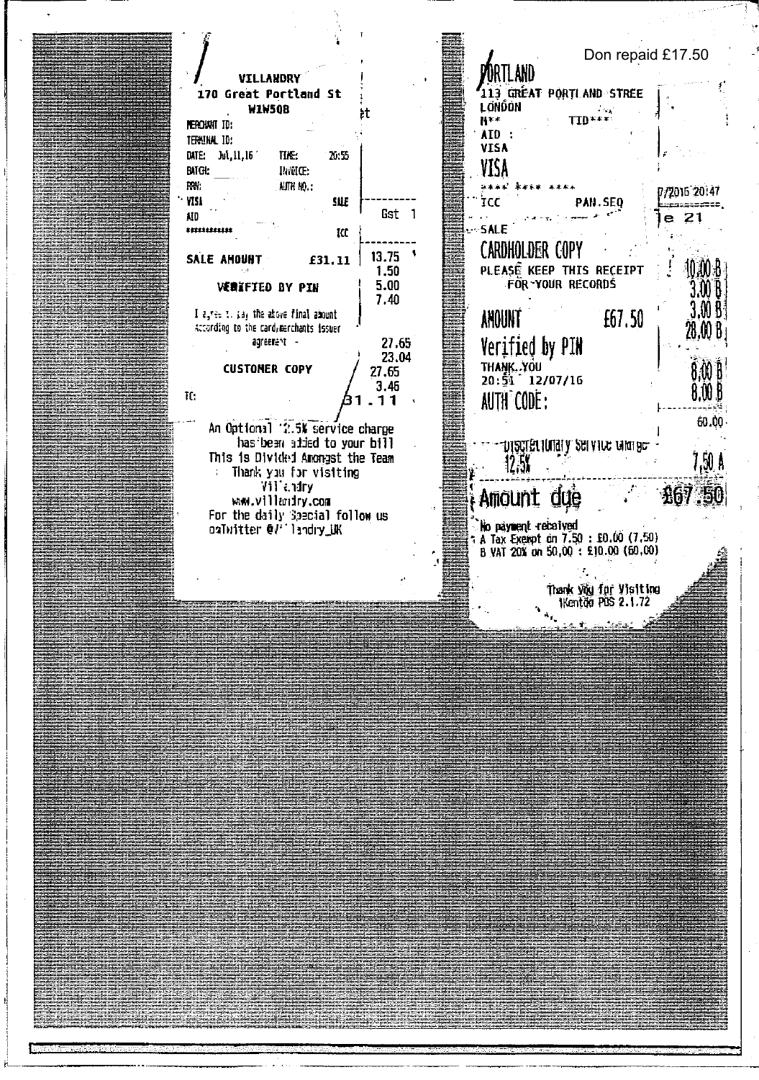Don repaid £17.50 ORTLAND VILLANDRY 113 GRÉAT PORTLAND STREE 170 Great Portland St LONDON  $\overline{\text{TD}^{\text{max}}}$ **W1W50B** ÞŤ H\*\* **NERCHAIT TO:** AID : TERNINAL ID: VISA DATE: Jul. 11.16 TIE:  $20:55$ VISA **INNIC: BATGI:**  $RW:$ AUTH NO.:  $44.44$ 法法认定 7/2016 20147 VISI **SUE** ÏCC PAN.SEO ووسابهم Gst 1 AID.  $\ddot{\phantom{1}}$  $e<sub>21</sub>$  $-5$ ALE \*\*\*\*\*\*\*\*\*\*\*  $\mathbf{R}$ **CARDHOLDER COPY**  $13.75$   $\sqrt{ }$ SALE AMOUNT £31,11 10 AO B PLEASE KEEP THIS RECEIPT 1.50 FOR-YOUR RECORDS **VERIFIED BY PIN** 5.00 3.OO B  $7.40$  $3.00B<sup>3</sup>$ I ester to pay the above final amount ANOUNT £67.50 According to the card, merchants issuer 28.00 B. agreenent - $27.65$ Verified by PIN 23.04 THANK, YOU **CUSTOMER COPY** 27,65 .M H  $20:\frac{5}{31}$  12/07/16  $3.46$ 8.W 6  $\mathbf{R}$ : AUTH CODE: 1  $.11$ 60.00 An Optional '2.5% service charge vysgyer lonal y service talurae. has been added to your bill This is Divided Amongst the Team 7,50 A  $12.5$ Thank you for visiting  $\frac{1}{2}$ Villendry Amount due ww.villandry.com For the daily Special follow us<br>oaTwitter @V\*'landry\_UK No päyment recaived A Tax Exempt on 7.50 : £0.00 (7.50)<br>B VAT 20% on 50,00 : £10.00 (60.00) Thank you for Visiting 1Kenton POS 2.1.72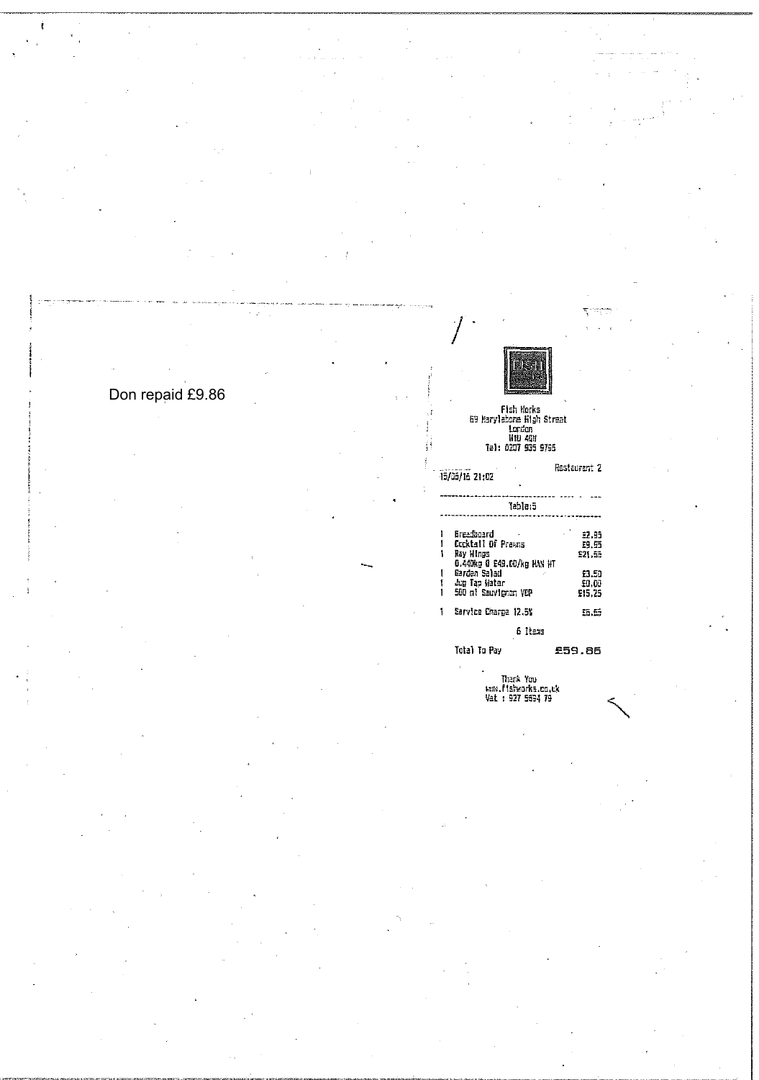## Don repaid £9.86

 $\mathcal{A}=\mathcal{A}$ 

 $\overline{\mathbf{S}}_i$  and

Fish Works<br>E9 Harylebone High Streat<br>Lordon<br>Hiu 4QH<br>Tel: D2O7 935 9795

 $\label{eq:2} \frac{1}{2} \int_{\mathbb{R}^3} \frac{1}{\sqrt{2}} \, \mathrm{d} \xi \, \mathrm{d} \xi$ Restaurant 2 15/05/16 21:02 2<br>--------------Breadbaard<br>Cocktail Of Prawns<br>Ray Hings<br>O.440kg Q E49.00/kg HAN HT<br>Cerden Salad<br>Jug Tap Hater<br>500 ni Sauvignon VCP 9.95<br>9.55<br>91.55 ı  $\mathbf{I}$ ţ £3.50  $\mathbf{1}$  $\frac{60.00}{15.25}$  $\frac{1}{1}$ 1 Sarvice Charge 12.5%  $55.55$  $\begin{array}{ll} \text{6} & \text{Itess} \\ \text{6} & \text{fess} \\ \text{7} & \text{fets} \end{array}$  Total To Pay

 $\bar{\mathcal{L}}$ Thank You<br>Hank,fishworks.co.uk<br>Vat : 927 5694 79

 $\mathbf{g}^{(1)}$  .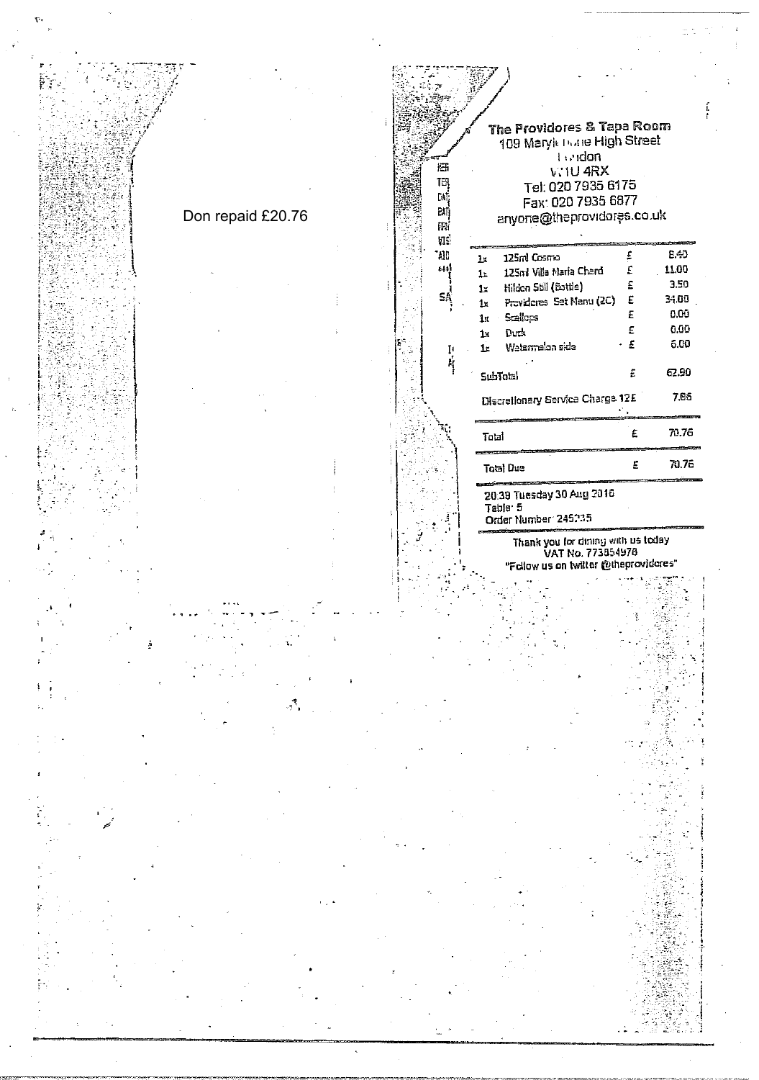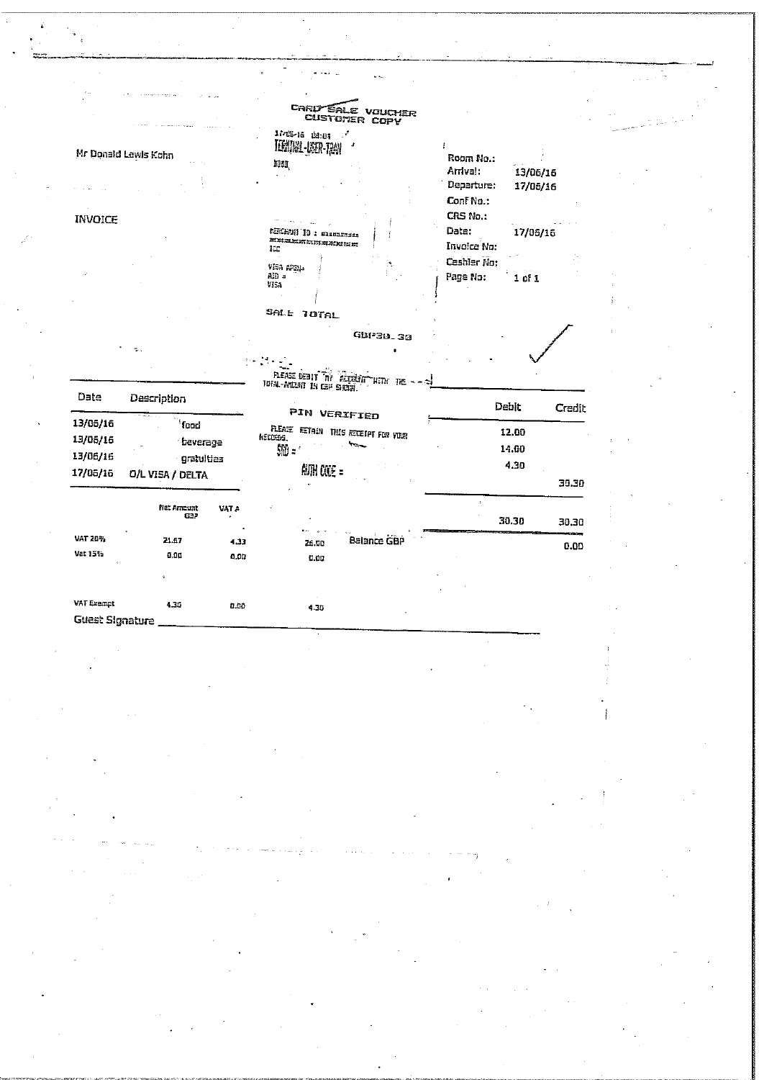|                                                                                  |                            | <b>CARD SALE VOUCHER</b>                       |                        |  |
|----------------------------------------------------------------------------------|----------------------------|------------------------------------------------|------------------------|--|
|                                                                                  |                            | CUSTOMER COPY<br>1/45-16 18:19                 |                        |  |
|                                                                                  | Mr Donald Lewis Kohn       | TERNINAL-USER-TRAN                             | i<br>Room No.:         |  |
|                                                                                  |                            | man,                                           | Arrival:<br>13/06/16   |  |
|                                                                                  |                            |                                                | Departure:<br>17/06/16 |  |
|                                                                                  |                            |                                                | Conf No.:              |  |
| <b>INVOICE</b>                                                                   |                            |                                                | CRS No.:               |  |
|                                                                                  |                            | REMEMBER 10 1 STANDARD                         | Date:<br>17/06/16      |  |
|                                                                                  |                            | 真型型型型型过程测定型<br>ICC                             | Invoice No:            |  |
|                                                                                  |                            |                                                | Cashler No:            |  |
|                                                                                  |                            | Visa (29).<br>AID =                            | Page No:<br>$1$ of $1$ |  |
|                                                                                  |                            | VISA                                           |                        |  |
|                                                                                  |                            |                                                |                        |  |
|                                                                                  |                            | SALL TOTAL                                     |                        |  |
|                                                                                  |                            | GBP30.30                                       |                        |  |
|                                                                                  |                            |                                                |                        |  |
|                                                                                  |                            |                                                |                        |  |
|                                                                                  |                            |                                                |                        |  |
|                                                                                  |                            | WITH THE                                       |                        |  |
| Date                                                                             | Description                | PLEASE DEBIT THY PLEASE                        |                        |  |
|                                                                                  |                            |                                                | Debit<br>Credit        |  |
|                                                                                  | food                       | PIN VERIFIED                                   | 12.00                  |  |
|                                                                                  | beverage                   | FLEATE RETAIN THIS RECEIPT FOR VINH<br>NEDERS. |                        |  |
|                                                                                  | gratulties                 | 郧:                                             | 14.00                  |  |
|                                                                                  | <b>O/L VISA / DELTA</b>    | 觚 COE =                                        | 4.30                   |  |
|                                                                                  |                            |                                                | 30.30                  |  |
|                                                                                  | <b>Net Amount</b><br>VAT A |                                                |                        |  |
|                                                                                  | G32                        |                                                | 30.30<br>30.30         |  |
|                                                                                  | 21.67                      |                                                |                        |  |
|                                                                                  | 4.33<br>0.00<br>0.00       | Balance GBP<br>26.00                           | 0.00                   |  |
|                                                                                  |                            | 0.00                                           |                        |  |
|                                                                                  |                            |                                                |                        |  |
| 13/05/16<br>13/06/16<br>13/06/16<br>17/06/16<br>VAT 20%<br>Vat 15%<br>VAT Exempt | 4.30<br>0.00               | 4.30                                           |                        |  |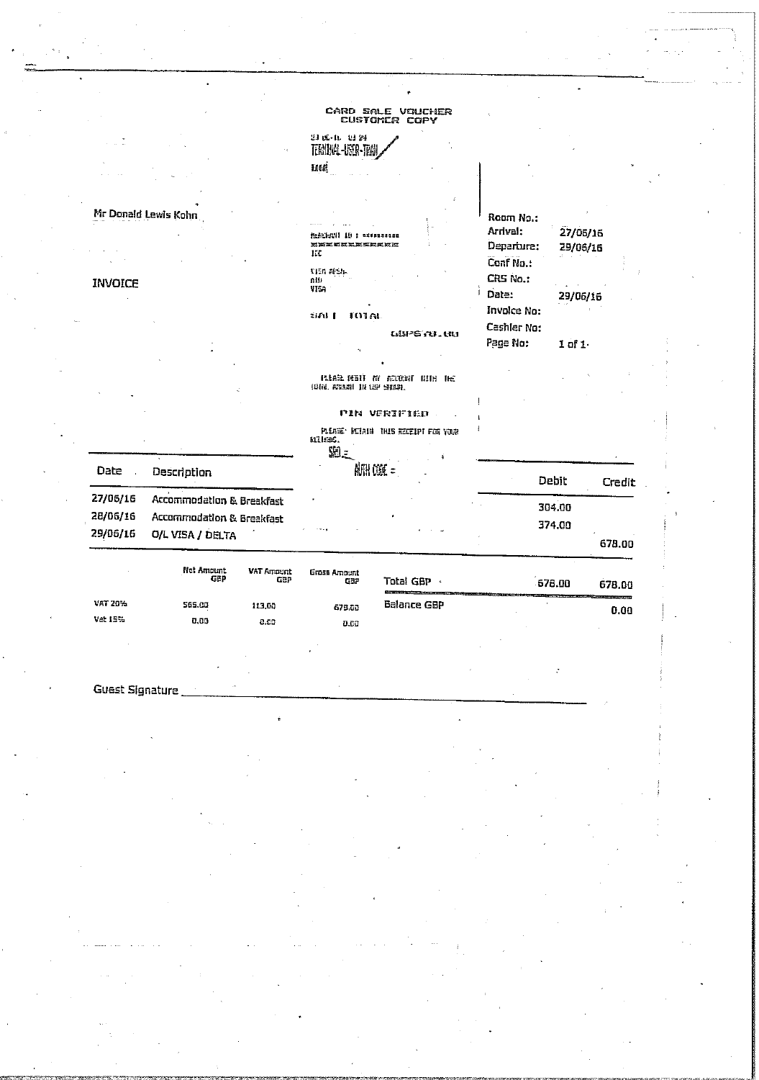|                                                                                                                           |                   |                                                           | CARD SALE VOUCHER<br>CUSTOMER COPY                          |                                     |                      |        |
|---------------------------------------------------------------------------------------------------------------------------|-------------------|-----------------------------------------------------------|-------------------------------------------------------------|-------------------------------------|----------------------|--------|
|                                                                                                                           |                   | 의 16-11-13 원<br>TEMUNA-USOR-TRA                           |                                                             |                                     |                      |        |
|                                                                                                                           |                   | Laad!                                                     |                                                             |                                     |                      |        |
| Mr Donald Lewis Kohn                                                                                                      |                   | <b>REFERENT</b><br>ID : nuesanscon<br><b>NXXGELXXXLER</b> |                                                             | Room No.:<br>Arrival:<br>Departure: | 27/06/16             |        |
| <b>INVOICE</b>                                                                                                            |                   | IEE<br><b>TION ARSIL</b><br>nii.<br>VIS <sub>1</sub>      |                                                             | Conf No.:<br>CRS No.:<br>Date:      | 29/06/16<br>29/06/16 |        |
|                                                                                                                           |                   | tied 1<br><b>MULA</b>                                     | <b>WPS N.W</b>                                              | Involce No:<br>Cashler No:          |                      |        |
|                                                                                                                           |                   |                                                           | <b>REAL REAT NY ACOUNT NITH THE</b>                         | Page No:                            | 1 of 1.              |        |
|                                                                                                                           |                   | (時間、高調剤 用 (型 身間数)                                         |                                                             |                                     |                      |        |
|                                                                                                                           |                   | anus.<br>$90 -$                                           | <b>PIN VERIFIED</b><br>PLEASE: RETAIN THIS RECEIPT FOR YOUR |                                     |                      |        |
| Date<br>Description                                                                                                       |                   |                                                           | <b>AUTH COSE =</b>                                          |                                     | Debit                | Credit |
| 27/06/16<br>Accommodation & Breakfast<br>28/06/16<br><b>Accommodation &amp; Breakfast</b><br>29/06/16<br>O/L VISA / DELTA |                   |                                                           |                                                             |                                     | 304.00<br>374.00     |        |
|                                                                                                                           |                   |                                                           |                                                             |                                     |                      | 678.00 |
| Net Amount<br>GBP                                                                                                         | VAT Amount<br>GBP | Gross Amount<br>GBP                                       | Total GBP ·                                                 |                                     | 678.00               | 678.00 |
| VAT 20%<br>565.00<br>Var 15%<br>0.00                                                                                      | 113.00<br>0.00    | 678.00<br>0.60                                            | <b>Balance GBP</b>                                          |                                     |                      | 0.00   |

Guest Signature

 $\overline{a}$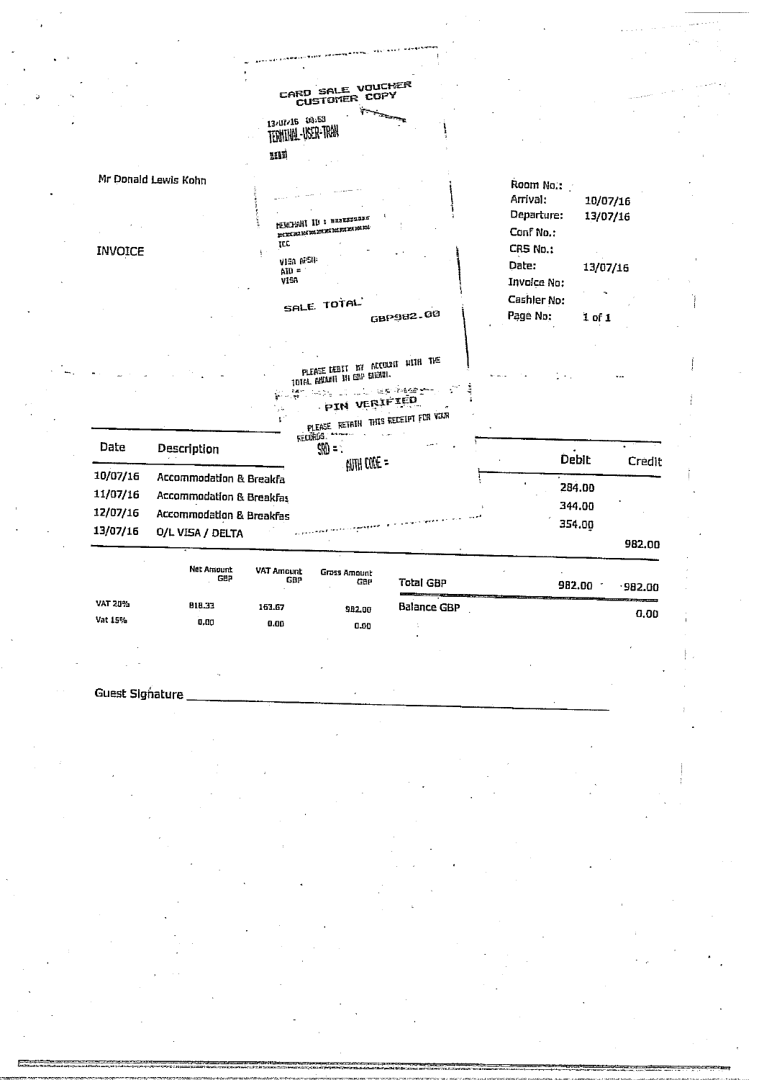|                      |                                              | CARD SALE VOUCHER<br>CUSTOMER COPY    |                                                                               |                                        |          |        |
|----------------------|----------------------------------------------|---------------------------------------|-------------------------------------------------------------------------------|----------------------------------------|----------|--------|
|                      |                                              | 13/07/16 03:53<br>TERNINA-USER-TRAN   |                                                                               |                                        |          |        |
|                      |                                              | HIM                                   |                                                                               |                                        |          |        |
|                      | Mr Donald Lewis Kohn                         |                                       |                                                                               | Room No.:<br>Arrival:                  | 10/07/16 |        |
|                      |                                              | NEWCHANT ID : BRBESSSERE<br>mnamannan |                                                                               | Departure:<br>Conf No.:                | 13/07/16 |        |
| <b>INVOICE</b>       | à.                                           | <b>TCC</b><br>VISA APSIL<br>$A10 =$   |                                                                               | CRS No.:<br>Date:                      | 13/07/16 |        |
|                      |                                              | VISA<br>SALE TOTAL                    | GBP982.00                                                                     | Invoice No:<br>Cashler No:<br>Page No: | 1 of 1   |        |
|                      |                                              | TOTAL ABOUT IN END SHOWL              | PLEASE DEBIT BY ACCOUNT WITH THE<br>محجوبهم والمهيون والرابين<br>PIN VERIFIED |                                        |          |        |
| Date                 |                                              | RECORDS.                              | PLEASE RETAIN THIS RECEIPT FOR VOUR                                           |                                        |          |        |
|                      | Description                                  | $\mathfrak{W} = 0$                    | AUTH CODE =                                                                   |                                        | Debit    | Credit |
| 10/07/16             | Accommodation & Breakfa                      |                                       |                                                                               |                                        | 284.00   |        |
| 11/07/16             | Accommodation & Breakfas                     |                                       |                                                                               |                                        | 344.00   |        |
| 12/07/16<br>13/07/16 | Accommodation & Breakfas<br>O/L VISA / DELTA |                                       |                                                                               |                                        | 354.00   |        |
|                      |                                              |                                       |                                                                               |                                        |          | 982.00 |

|                | <b>NGL AGROUTE</b><br>GBP | VAT Amount<br>GBP | Grass Amount<br>GBP | Total GBP<br>the contract of the contract of the contract of the contract of the contract of the contract of the contract of | 982.00<br>982.00<br><u>. Alexandria anno 1964 anno 1964 anno 1964. I anno 1964 ann ann 1974. I ann ann 1974 ann 1984 ann 1984 ann 19</u> |
|----------------|---------------------------|-------------------|---------------------|------------------------------------------------------------------------------------------------------------------------------|------------------------------------------------------------------------------------------------------------------------------------------|
| <b>VAT 20%</b> | 818.33                    | 163.67            | 982.00              | Balance GBP                                                                                                                  | 0.00                                                                                                                                     |
| Vat 15%        | 0.00                      | 0.00              | 0.00                |                                                                                                                              |                                                                                                                                          |
|                |                           |                   |                     |                                                                                                                              |                                                                                                                                          |

**Guest Signature**